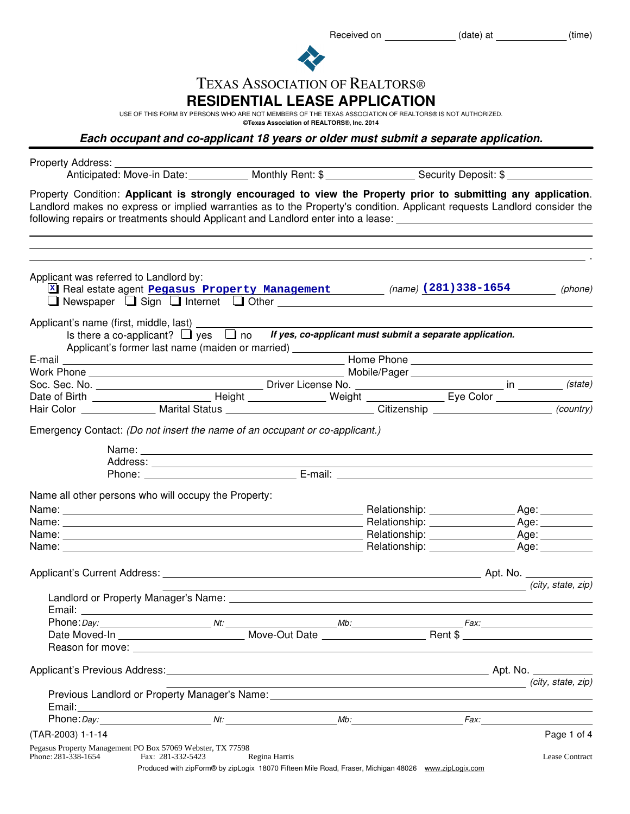Received on \_\_\_\_\_\_\_\_\_\_\_\_\_(date) at \_\_\_\_\_\_\_\_\_\_\_(time)



# TEXAS ASSOCIATION OF REALTORS®

### **RESIDENTIAL LEASE APPLICATION**

USE OF THIS FORM BY PERSONS WHO ARE NOT MEMBERS OF THE TEXAS ASSOCIATION OF REALTORS® IS NOT AUTHORIZED.

**©Texas Association of REALTORS®, Inc. 2014**

**Each occupant and co-applicant 18 years or older must submit a separate application.**

| Property Address: __________                                                                                                                                                                                                                                                                                                                       |                   |                                                                 |                                                                                                        |                |
|----------------------------------------------------------------------------------------------------------------------------------------------------------------------------------------------------------------------------------------------------------------------------------------------------------------------------------------------------|-------------------|-----------------------------------------------------------------|--------------------------------------------------------------------------------------------------------|----------------|
| Property Condition: Applicant is strongly encouraged to view the Property prior to submitting any application.<br>Landlord makes no express or implied warranties as to the Property's condition. Applicant requests Landlord consider the<br>following repairs or treatments should Applicant and Landlord enter into a lease: __________________ |                   |                                                                 |                                                                                                        |                |
| Applicant was referred to Landlord by:                                                                                                                                                                                                                                                                                                             |                   |                                                                 | X Real estate agent Pegasus Property Management (name) (281) 338-1654 (phone)                          |                |
|                                                                                                                                                                                                                                                                                                                                                    |                   | Applicant's former last name (maiden or married) ______________ | Is there a co-applicant? $\Box$ yes $\Box$ no If yes, co-applicant must submit a separate application. |                |
|                                                                                                                                                                                                                                                                                                                                                    |                   |                                                                 |                                                                                                        |                |
|                                                                                                                                                                                                                                                                                                                                                    |                   |                                                                 |                                                                                                        |                |
|                                                                                                                                                                                                                                                                                                                                                    |                   |                                                                 |                                                                                                        |                |
|                                                                                                                                                                                                                                                                                                                                                    |                   |                                                                 |                                                                                                        |                |
| Hair Color _______________ Marital Status ______________________________Citizenship ______________________ (country)                                                                                                                                                                                                                               |                   |                                                                 |                                                                                                        |                |
| Emergency Contact: (Do not insert the name of an occupant or co-applicant.)                                                                                                                                                                                                                                                                        |                   |                                                                 |                                                                                                        |                |
| Name all other persons who will occupy the Property:                                                                                                                                                                                                                                                                                               |                   |                                                                 |                                                                                                        |                |
|                                                                                                                                                                                                                                                                                                                                                    |                   |                                                                 |                                                                                                        |                |
|                                                                                                                                                                                                                                                                                                                                                    |                   |                                                                 |                                                                                                        |                |
|                                                                                                                                                                                                                                                                                                                                                    |                   |                                                                 |                                                                                                        |                |
|                                                                                                                                                                                                                                                                                                                                                    |                   |                                                                 |                                                                                                        |                |
|                                                                                                                                                                                                                                                                                                                                                    |                   |                                                                 |                                                                                                        |                |
|                                                                                                                                                                                                                                                                                                                                                    |                   |                                                                 |                                                                                                        |                |
|                                                                                                                                                                                                                                                                                                                                                    |                   |                                                                 | city, state, zip)                                                                                      |                |
|                                                                                                                                                                                                                                                                                                                                                    |                   |                                                                 |                                                                                                        |                |
|                                                                                                                                                                                                                                                                                                                                                    |                   |                                                                 |                                                                                                        |                |
|                                                                                                                                                                                                                                                                                                                                                    |                   |                                                                 |                                                                                                        |                |
|                                                                                                                                                                                                                                                                                                                                                    |                   |                                                                 |                                                                                                        |                |
|                                                                                                                                                                                                                                                                                                                                                    |                   |                                                                 | $\overline{\phantom{a}}$ (city, state, zip)                                                            |                |
|                                                                                                                                                                                                                                                                                                                                                    |                   |                                                                 |                                                                                                        |                |
| (TAR-2003) 1-1-14                                                                                                                                                                                                                                                                                                                                  |                   |                                                                 |                                                                                                        | Page 1 of 4    |
| Pegasus Property Management PO Box 57069 Webster, TX 77598<br>Phone: 281-338-1654                                                                                                                                                                                                                                                                  | Fax: 281-332-5423 | Regina Harris                                                   |                                                                                                        | Lease Contract |
|                                                                                                                                                                                                                                                                                                                                                    |                   |                                                                 | Produced with zipForm® by zipLogix 18070 Fifteen Mile Road, Fraser, Michigan 48026 www.zipLogix.com    |                |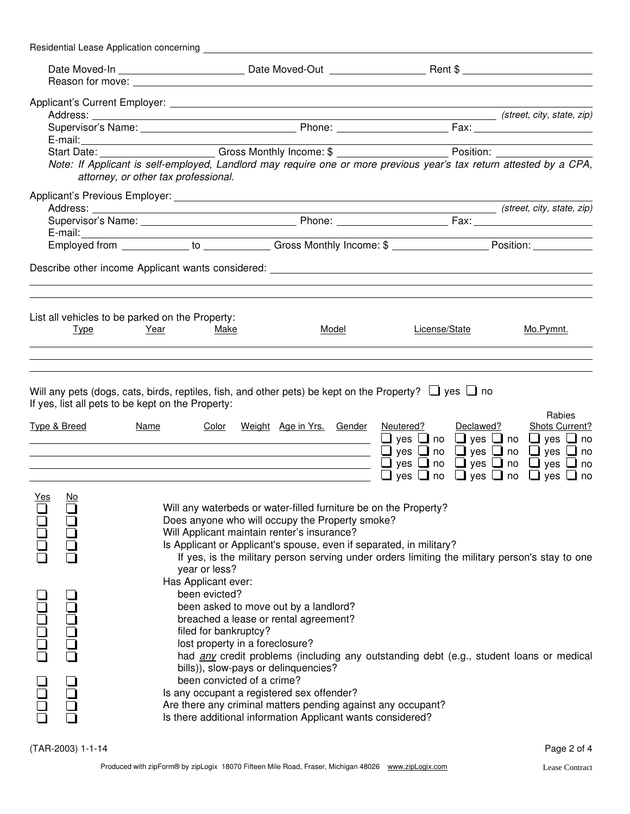|            |              | Residential Lease Application concerning                                                                                                                                                                                       |                                                                                                                                                                                                                                                                                                                                             |               |           |                                                                                                                                                              |
|------------|--------------|--------------------------------------------------------------------------------------------------------------------------------------------------------------------------------------------------------------------------------|---------------------------------------------------------------------------------------------------------------------------------------------------------------------------------------------------------------------------------------------------------------------------------------------------------------------------------------------|---------------|-----------|--------------------------------------------------------------------------------------------------------------------------------------------------------------|
|            |              |                                                                                                                                                                                                                                |                                                                                                                                                                                                                                                                                                                                             |               |           |                                                                                                                                                              |
|            |              |                                                                                                                                                                                                                                |                                                                                                                                                                                                                                                                                                                                             |               |           |                                                                                                                                                              |
|            |              |                                                                                                                                                                                                                                |                                                                                                                                                                                                                                                                                                                                             |               |           |                                                                                                                                                              |
|            |              |                                                                                                                                                                                                                                |                                                                                                                                                                                                                                                                                                                                             |               |           |                                                                                                                                                              |
|            |              | E-mail: experience and a series of the series of the series of the series of the series of the series of the series of the series of the series of the series of the series of the series of the series of the series of the s |                                                                                                                                                                                                                                                                                                                                             |               |           | the control of the control of the control of the control of                                                                                                  |
|            |              | attorney, or other tax professional.                                                                                                                                                                                           | Note: If Applicant is self-employed, Landlord may require one or more previous year's tax return attested by a CPA,                                                                                                                                                                                                                         |               |           |                                                                                                                                                              |
|            |              |                                                                                                                                                                                                                                |                                                                                                                                                                                                                                                                                                                                             |               |           |                                                                                                                                                              |
|            |              |                                                                                                                                                                                                                                |                                                                                                                                                                                                                                                                                                                                             |               |           |                                                                                                                                                              |
|            |              |                                                                                                                                                                                                                                |                                                                                                                                                                                                                                                                                                                                             |               |           |                                                                                                                                                              |
|            |              |                                                                                                                                                                                                                                |                                                                                                                                                                                                                                                                                                                                             |               |           |                                                                                                                                                              |
|            | <u>Type</u>  | List all vehicles to be parked on the Property:<br>Year<br>Make                                                                                                                                                                | Model                                                                                                                                                                                                                                                                                                                                       | License/State |           | Mo.Pymnt.                                                                                                                                                    |
|            | Type & Breed | If yes, list all pets to be kept on the Property:<br>Color<br>Name                                                                                                                                                             | Will any pets (dogs, cats, birds, reptiles, fish, and other pets) be kept on the Property? $\Box$ yes $\Box$ no<br>Weight Age in Yrs. Gender<br><u> 1989 - Johann Barbara, martin amerikan basar dan berasal dalam basa dalam basar dalam basar dalam basar dala</u><br>———————————————————— □ yes □ no □ yes □ no □ yes □ no               | Neutered?     | Declawed? | Rabies<br>Shots Current?<br>$\Box$ yes $\Box$ no $\Box$ yes $\Box$ no $\Box$ yes $\Box$ no<br>$\Box$ yes $\Box$ no $\Box$ yes $\Box$ no $\Box$ yes $\Box$ no |
|            |              |                                                                                                                                                                                                                                |                                                                                                                                                                                                                                                                                                                                             |               |           | $\Box$ yes $\Box$ no $\Box$ yes $\Box$ no $\Box$ yes $\Box$ no                                                                                               |
| <u>Yes</u> | No.          | year or less?                                                                                                                                                                                                                  | Will any waterbeds or water-filled furniture be on the Property?<br>Does anyone who will occupy the Property smoke?<br>Will Applicant maintain renter's insurance?<br>Is Applicant or Applicant's spouse, even if separated, in military?<br>If yes, is the military person serving under orders limiting the military person's stay to one |               |           |                                                                                                                                                              |
| ooooo      | DOOOO        | Has Applicant ever:<br>been evicted?<br>filed for bankruptcy?                                                                                                                                                                  | been asked to move out by a landlord?<br>breached a lease or rental agreement?<br>lost property in a foreclosure?<br>had any credit problems (including any outstanding debt (e.g., student loans or medical                                                                                                                                |               |           |                                                                                                                                                              |
| ed<br>Pre  | u<br>DDC     |                                                                                                                                                                                                                                | bills)), slow-pays or delinquencies?<br>been convicted of a crime?<br>Is any occupant a registered sex offender?<br>Are there any criminal matters pending against any occupant?<br>Is there additional information Applicant wants considered?                                                                                             |               |           |                                                                                                                                                              |

(TAR-2003) 1-1-14 Page 2 of 4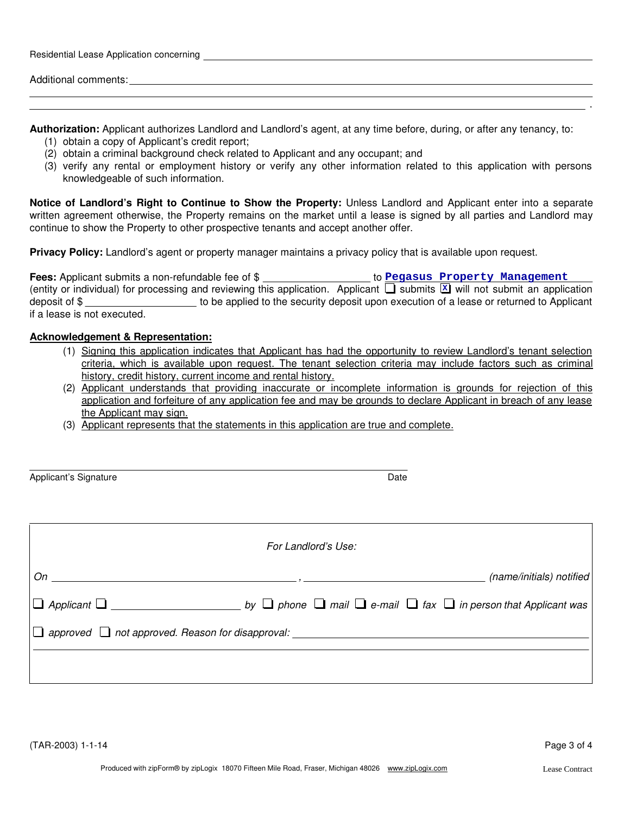| Residential Lease Application concerning |  |  |
|------------------------------------------|--|--|
|                                          |  |  |
| Additional comments:                     |  |  |

**Authorization:** Applicant authorizes Landlord and Landlord's agent, at any time before, during, or after any tenancy, to:

- (1) obtain a copy of Applicant's credit report;
- (2) obtain a criminal background check related to Applicant and any occupant; and
- (3) verify any rental or employment history or verify any other information related to this application with persons knowledgeable of such information.

**Notice of Landlord's Right to Continue to Show the Property:** Unless Landlord and Applicant enter into a separate written agreement otherwise, the Property remains on the market until a lease is signed by all parties and Landlord may continue to show the Property to other prospective tenants and accept another offer.

**Privacy Policy:** Landlord's agent or property manager maintains a privacy policy that is available upon request.

| <b>Fees:</b> Applicant submits a non-refundable fee of \$ |                                                                                                                                      | to Pegasus Property Management                                                           |
|-----------------------------------------------------------|--------------------------------------------------------------------------------------------------------------------------------------|------------------------------------------------------------------------------------------|
|                                                           | (entity or individual) for processing and reviewing this application. Applicant $\Box$ submits $\Box$ will not submit an application |                                                                                          |
| deposit of \$                                             |                                                                                                                                      | to be applied to the security deposit upon execution of a lease or returned to Applicant |
| if a lease is not executed.                               |                                                                                                                                      |                                                                                          |

#### **Acknowledgement & Representation:**

- (1) Signing this application indicates that Applicant has had the opportunity to review Landlord's tenant selection criteria, which is available upon request. The tenant selection criteria may include factors such as criminal history, credit history, current income and rental history.
- (2) Applicant understands that providing inaccurate or incomplete information is grounds for rejection of this application and forfeiture of any application fee and may be grounds to declare Applicant in breach of any lease the Applicant may sign.
- (3) Applicant represents that the statements in this application are true and complete.

| Applicant's Signature | Date |
|-----------------------|------|

| For Landlord's Use:                                                                                                                                                                                                                                       |  |                          |
|-----------------------------------------------------------------------------------------------------------------------------------------------------------------------------------------------------------------------------------------------------------|--|--------------------------|
| $On$ and $On$ and $On$ and $On$ and $On$ and $On$ and $On$ and $On$ and $On$ and $On$ and $On$ and $On$ and $On$ and $On$ and $On$ and $On$ and $On$ and $On$ and $On$ and $On$ and $On$ and $On$ and $On$ and $On$ and $On$ and $On$ and $On$ and $On$ a |  | (name/initials) notified |
|                                                                                                                                                                                                                                                           |  |                          |
| $\Box$ approved $\Box$ not approved. Reason for disapproval: __________                                                                                                                                                                                   |  |                          |
|                                                                                                                                                                                                                                                           |  |                          |
|                                                                                                                                                                                                                                                           |  |                          |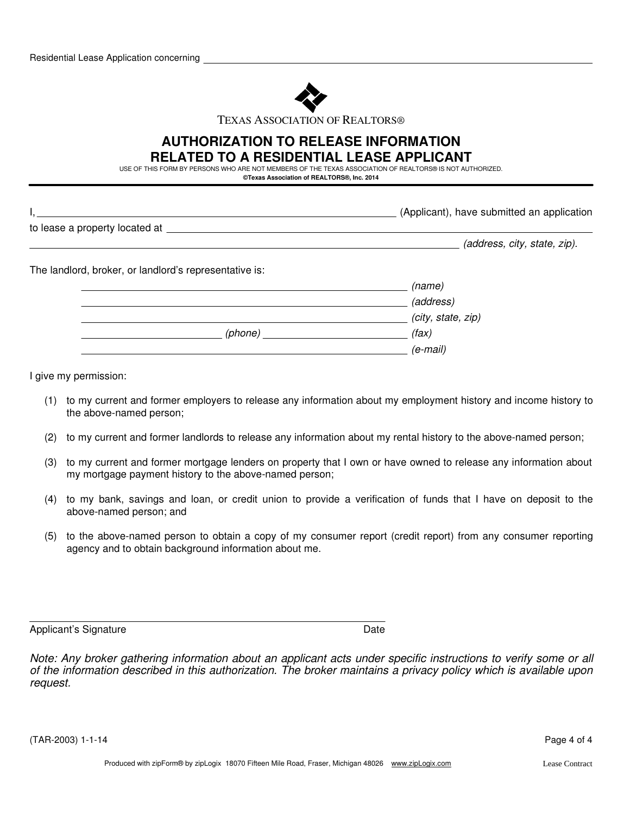

TEXAS ASSOCIATION OF REALTORS®

### **RELATED TO A RESIDENTIAL LEASE APPLICANT AUTHORIZATION TO RELEASE INFORMATION**

USE OF THIS FORM BY PERSONS WHO ARE NOT MEMBERS OF THE TEXAS ASSOCIATION OF REALTORS® IS NOT AUTHORIZED.

**©Texas Association of REALTORS®, Inc. 2014**

|                                                        | (Applicant), have submitted an application |  |
|--------------------------------------------------------|--------------------------------------------|--|
| to lease a property located at ___________             |                                            |  |
|                                                        | (address, city, state, zip).               |  |
| The landlord, broker, or landlord's representative is: |                                            |  |
|                                                        | (name)                                     |  |
|                                                        | (address)                                  |  |
|                                                        | (city, state, zip)                         |  |
|                                                        | (fax)                                      |  |
|                                                        | $(e$ -mail)                                |  |

I give my permission:

- (1) to my current and former employers to release any information about my employment history and income history to the above-named person;
- (2) to my current and former landlords to release any information about my rental history to the above-named person;
- (3) to my current and former mortgage lenders on property that I own or have owned to release any information about my mortgage payment history to the above-named person;
- (4) to my bank, savings and loan, or credit union to provide a verification of funds that I have on deposit to the above-named person; and
- (5) to the above-named person to obtain a copy of my consumer report (credit report) from any consumer reporting agency and to obtain background information about me.

Applicant's Signature Date Date Controller and Date Date Date

*Note: Any broker gathering information about an applicant acts under specific instructions to verify some or all of the information described in this authorization. The broker maintains a privacy policy which is available upon request.*

(TAR-2003) 1-1-14 Page 4 of 4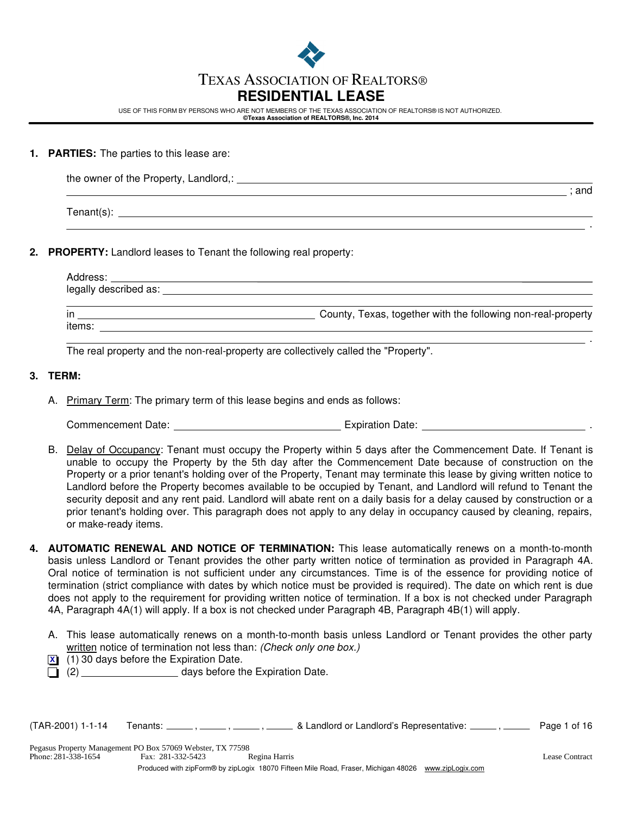

## TEXAS ASSOCIATION OF REALTORS®

## **RESIDENTIAL LEASE**

USE OF THIS FORM BY PERSONS WHO ARE NOT MEMBERS OF THE TEXAS ASSOCIATION OF REALTORS® IS NOT AUTHORIZED. **©Texas Association of REALTORS®, Inc. 2014**

#### **1. PARTIES:** The parties to this lease are:

| the owner of the Property, Landlord,: |     |
|---------------------------------------|-----|
|                                       | and |

Tenant(s): Tenant(s):

#### **2. PROPERTY:** Landlord leases to Tenant the following real property:

| Address:                                                                                                                                                                                                                      |                                                              |
|-------------------------------------------------------------------------------------------------------------------------------------------------------------------------------------------------------------------------------|--------------------------------------------------------------|
| legally described as: example and all the set of the set of the set of the set of the set of the set of the set of the set of the set of the set of the set of the set of the set of the set of the set of the set of the set |                                                              |
|                                                                                                                                                                                                                               |                                                              |
| in                                                                                                                                                                                                                            | County, Texas, together with the following non-real-property |
| items:                                                                                                                                                                                                                        |                                                              |

The real property and the non-real-property are collectively called the "Property".

#### **3. TERM:**

A. Primary Term: The primary term of this lease begins and ends as follows:

Commencement Date: Expiration Date: .

- B. Delay of Occupancy: Tenant must occupy the Property within 5 days after the Commencement Date. If Tenant is unable to occupy the Property by the 5th day after the Commencement Date because of construction on the Property or a prior tenant's holding over of the Property, Tenant may terminate this lease by giving written notice to Landlord before the Property becomes available to be occupied by Tenant, and Landlord will refund to Tenant the security deposit and any rent paid. Landlord will abate rent on a daily basis for a delay caused by construction or a prior tenant's holding over. This paragraph does not apply to any delay in occupancy caused by cleaning, repairs, or make-ready items.
- **4. AUTOMATIC RENEWAL AND NOTICE OF TERMINATION:** This lease automatically renews on a month-to-month basis unless Landlord or Tenant provides the other party written notice of termination as provided in Paragraph 4A. Oral notice of termination is not sufficient under any circumstances. Time is of the essence for providing notice of termination (strict compliance with dates by which notice must be provided is required). The date on which rent is due does not apply to the requirement for providing written notice of termination. If a box is not checked under Paragraph 4A, Paragraph 4A(1) will apply. If a box is not checked under Paragraph 4B, Paragraph 4B(1) will apply.
	- A. This lease automatically renews on a month-to-month basis unless Landlord or Tenant provides the other party written notice of termination not less than: *(Check only one box.)*
	- (1) 30 days before the Expiration Date. **X**
	- (2) days before the Expiration Date.

 $(TAR-2001)$  1-1-14 Tenants:  $\frac{1}{\sqrt{1-\frac{1}{n}}}$ ,  $\frac{1}{\sqrt{1-\frac{1}{n}}}$  & Landlord or Landlord's Representative:  $\frac{1}{\sqrt{1-\frac{1}{n}}}$  Page 1 of 16

.

.

Phone:  $281 - 338 - 1654$ Pegasus Property Management PO Box 57069 Webster, TX 77598 281-338-1654 281-332-5423 Regina Harris Lease Contract

Produced with zipForm® by zipLogix 18070 Fifteen Mile Road, Fraser, Michigan 48026 www.zipLogix.com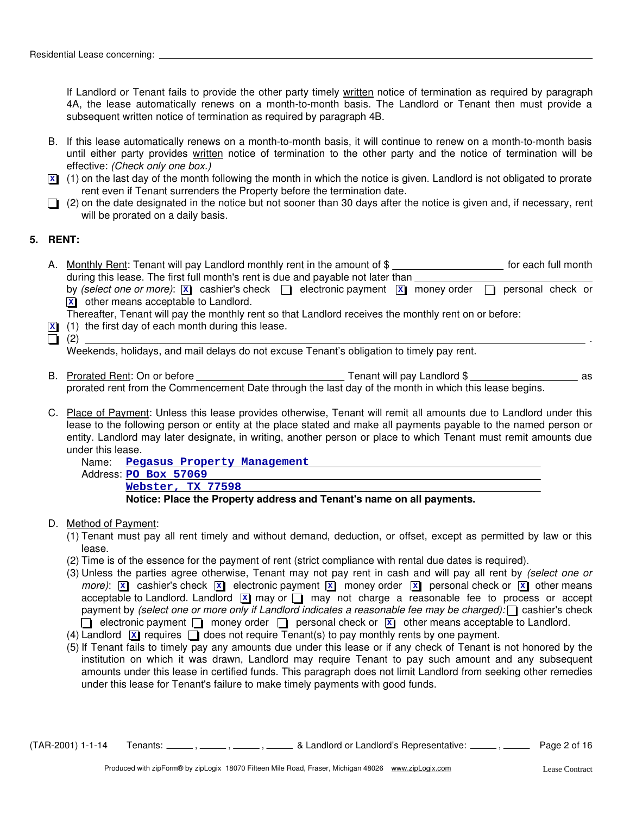If Landlord or Tenant fails to provide the other party timely written notice of termination as required by paragraph 4A, the lease automatically renews on a month-to-month basis. The Landlord or Tenant then must provide a subsequent written notice of termination as required by paragraph 4B.

- B. If this lease automatically renews on a month-to-month basis, it will continue to renew on a month-to-month basis until either party provides written notice of termination to the other party and the notice of termination will be effective: *(Check only one box.)*
- (1) on the last day of the month following the month in which the notice is given. Landlord is not obligated to prorate **X** rent even if Tenant surrenders the Property before the termination date.
- $\Box$  (2) on the date designated in the notice but not sooner than 30 days after the notice is given and, if necessary, rent will be prorated on a daily basis.

#### **5. RENT:**

A. Nonthly Rent: Tenant will pay Landlord monthly rent in the amount of \$ **witch the month** of each full month during this lease. The first full month's rent is due and payable not later than  $\equiv$ by *(select one or more)*:  $\boxed{\mathbf{x}}$  cashier's check  $\boxed{\phantom{\cdot}}$  electronic payment  $\boxed{\mathbf{x}}$  money order  $\boxed{\phantom{\cdot}}$  personal check or other means acceptable to Landlord. **X**

Thereafter, Tenant will pay the monthly rent so that Landlord receives the monthly rent on or before:

- (1) the first day of each month during this lease. **X**
- (2) .

Weekends, holidays, and mail delays do not excuse Tenant's obligation to timely pay rent.

- B. Prorated Rent: On or before Tenant will pay Landlord \$ as prorated rent from the Commencement Date through the last day of the month in which this lease begins.
- C. Place of Payment: Unless this lease provides otherwise, Tenant will remit all amounts due to Landlord under this lease to the following person or entity at the place stated and make all payments payable to the named person or entity. Landlord may later designate, in writing, another person or place to which Tenant must remit amounts due under this lease.

| Name. Pegasus Property Management                                     |
|-----------------------------------------------------------------------|
| Address PO Box 57069                                                  |
| Webster, TX 77598                                                     |
| Notice: Place the Property address and Tenant's name on all payments. |

#### D. Method of Payment:

- (1) Tenant must pay all rent timely and without demand, deduction, or offset, except as permitted by law or this lease.
- (2) Time is of the essence for the payment of rent (strict compliance with rental due dates is required).
- (3) Unless the parties agree otherwise, Tenant may not pay rent in cash and will pay all rent by *(select one or*  $m$ ore):  $\boxed{\mathbf{x}}$  cashier's check  $\boxed{\mathbf{x}}$  electronic payment  $\boxed{\mathbf{x}}$  money order  $\boxed{\mathbf{x}}$  personal check or  $\boxed{\mathbf{x}}$  other means acceptable to Landlord. Landlord **X** may or  $\Box$  may not charge a reasonable fee to process or accept payment by *(select one or more only if Landlord indicates a reasonable fee may be charged)*: cashier's check electronic payment  $\Box$  money order  $\Box$  personal check or  $\overline{\mathbf{x}}$  other means acceptable to Landlord.
- (4) Landlord  $\boxed{\mathbf{x}}$  requires  $\boxed{\phantom{a}}$  does not require Tenant(s) to pay monthly rents by one payment.
- (5) If Tenant fails to timely pay any amounts due under this lease or if any check of Tenant is not honored by the institution on which it was drawn, Landlord may require Tenant to pay such amount and any subsequent amounts under this lease in certified funds. This paragraph does not limit Landlord from seeking other remedies under this lease for Tenant's failure to make timely payments with good funds.

 $(TAR-2001)$  1-1-14 Tenants:  $\frac{1}{\sqrt{16}}$ ,  $\frac{1}{\sqrt{16}}$ ,  $\frac{1}{\sqrt{16}}$  & Landlord or Landlord's Representative:  $\frac{1}{\sqrt{16}}$  Page 2 of 16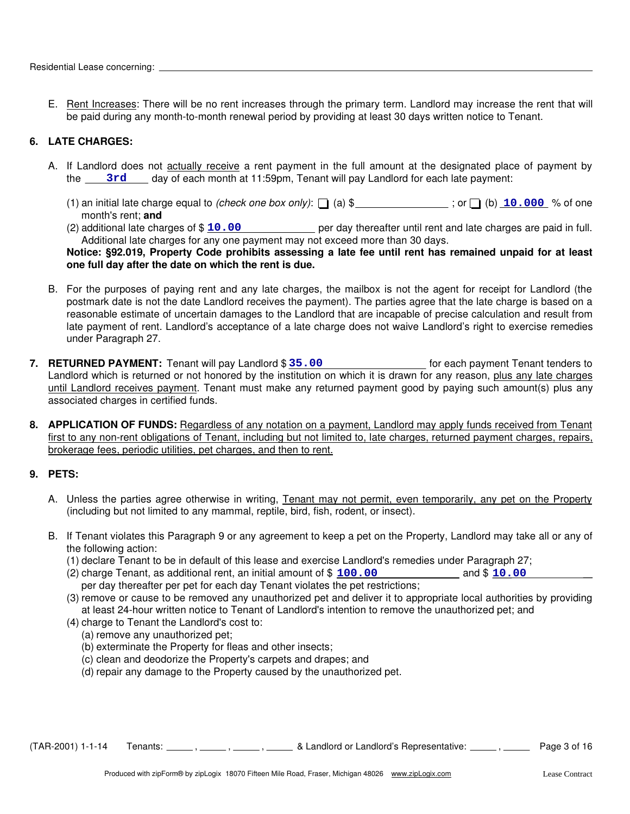E. Rent Increases: There will be no rent increases through the primary term. Landlord may increase the rent that will be paid during any month-to-month renewal period by providing at least 30 days written notice to Tenant.

#### **6. LATE CHARGES:**

- A. If Landlord does not actually receive a rent payment in the full amount at the designated place of payment by the 3rd day of each month at 11:59pm, Tenant will pay Landlord for each late payment:
	- (1) an initial late charge equal to *(check one box only)*:  $\Box$  (a) \$ \_\_\_\_\_\_\_\_\_\_\_\_\_\_; or  $\Box$  (b)  $\Box$  0.000 % of one month's rent; **and**
	- (2) additional late charges of \$ 10.00 **100** per day thereafter until rent and late charges are paid in full. Additional late charges for any one payment may not exceed more than 30 days.

#### **Notice: §92.019, Property Code prohibits assessing a late fee until rent has remained unpaid for at least one full day after the date on which the rent is due.**

- B. For the purposes of paying rent and any late charges, the mailbox is not the agent for receipt for Landlord (the postmark date is not the date Landlord receives the payment). The parties agree that the late charge is based on a reasonable estimate of uncertain damages to the Landlord that are incapable of precise calculation and result from late payment of rent. Landlord's acceptance of a late charge does not waive Landlord's right to exercise remedies under Paragraph 27.
- 7. RETURNED PAYMENT: Tenant will pay Landlord \$ 35.00 [10] [10] [10] for each payment Tenant tenders to Landlord which is returned or not honored by the institution on which it is drawn for any reason, plus any late charges until Landlord receives payment. Tenant must make any returned payment good by paying such amount(s) plus any associated charges in certified funds.
- **8. APPLICATION OF FUNDS:** Regardless of any notation on a payment, Landlord may apply funds received from Tenant first to any non-rent obligations of Tenant, including but not limited to, late charges, returned payment charges, repairs, brokerage fees, periodic utilities, pet charges, and then to rent.

#### **9. PETS:**

- A. Unless the parties agree otherwise in writing, Tenant may not permit, even temporarily, any pet on the Property (including but not limited to any mammal, reptile, bird, fish, rodent, or insect).
- B. If Tenant violates this Paragraph 9 or any agreement to keep a pet on the Property, Landlord may take all or any of the following action:
	- (1) declare Tenant to be in default of this lease and exercise Landlord's remedies under Paragraph 27;
	- $(2)$  charge Tenant, as additional rent, an initial amount of  $$100.00$  and  $$10.00$ per day thereafter per pet for each day Tenant violates the pet restrictions;
	- (3) remove or cause to be removed any unauthorized pet and deliver it to appropriate local authorities by providing at least 24-hour written notice to Tenant of Landlord's intention to remove the unauthorized pet; and
	- (4) charge to Tenant the Landlord's cost to:
		- (a) remove any unauthorized pet;
		- (b) exterminate the Property for fleas and other insects;
		- (c) clean and deodorize the Property's carpets and drapes; and
		- (d) repair any damage to the Property caused by the unauthorized pet.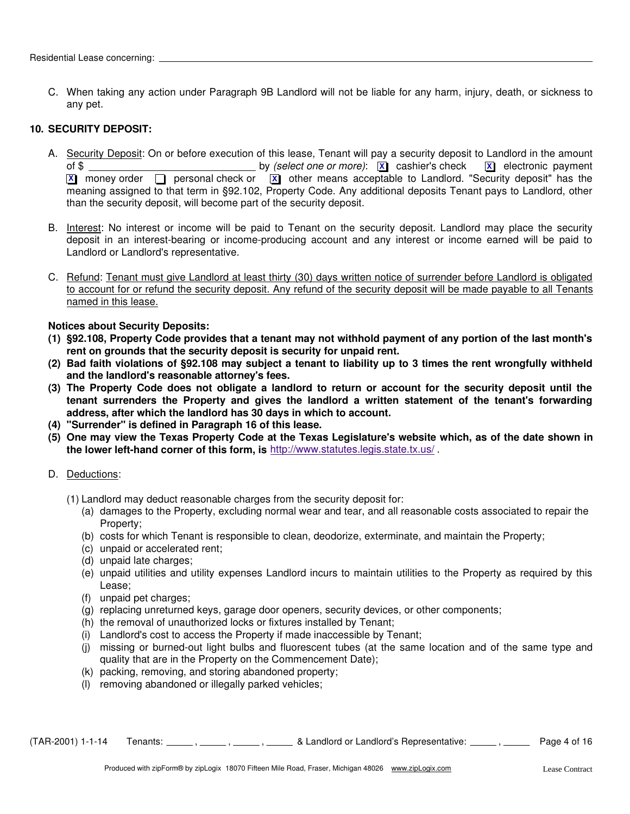C. When taking any action under Paragraph 9B Landlord will not be liable for any harm, injury, death, or sickness to any pet.

#### **10. SECURITY DEPOSIT:**

- A. Security Deposit: On or before execution of this lease, Tenant will pay a security deposit to Landlord in the amount of \$ by *(select one or more)*: cashier's check electronic payment **X X X** money order  $\Box$  personal check or  $\overline{X}$  other means acceptable to Landlord. "Security deposit" has the meaning assigned to that term in §92.102, Property Code. Any additional deposits Tenant pays to Landlord, other than the security deposit, will become part of the security deposit.
- B. Interest: No interest or income will be paid to Tenant on the security deposit. Landlord may place the security deposit in an interest-bearing or income-producing account and any interest or income earned will be paid to Landlord or Landlord's representative.
- C. Refund: Tenant must give Landlord at least thirty (30) days written notice of surrender before Landlord is obligated to account for or refund the security deposit. Any refund of the security deposit will be made payable to all Tenants named in this lease.

#### **Notices about Security Deposits:**

- **(1) §92.108, Property Code provides that a tenant may not withhold payment of any portion of the last month's rent on grounds that the security deposit is security for unpaid rent.**
- **(2) Bad faith violations of §92.108 may subject a tenant to liability up to 3 times the rent wrongfully withheld and the landlord's reasonable attorney's fees.**
- **(3) The Property Code does not obligate a landlord to return or account for the security deposit until the tenant surrenders the Property and gives the landlord a written statement of the tenant's forwarding address, after which the landlord has 30 days in which to account.**
- **(4) "Surrender" is defined in Paragraph 16 of this lease.**
- **(5) One may view the Texas Property Code at the Texas Legislature's website which, as of the date shown in the lower left-hand corner of this form, is** http://www.statutes.legis.state.tx.us/ .
- D. Deductions:
	- (1) Landlord may deduct reasonable charges from the security deposit for:
		- (a) damages to the Property, excluding normal wear and tear, and all reasonable costs associated to repair the Property;
		- (b) costs for which Tenant is responsible to clean, deodorize, exterminate, and maintain the Property;
		- (c) unpaid or accelerated rent;
		- (d) unpaid late charges;
		- (e) unpaid utilities and utility expenses Landlord incurs to maintain utilities to the Property as required by this Lease;
		- (f) unpaid pet charges;
		- (g) replacing unreturned keys, garage door openers, security devices, or other components;
		- (h) the removal of unauthorized locks or fixtures installed by Tenant;
		- (i) Landlord's cost to access the Property if made inaccessible by Tenant;
		- (j) missing or burned-out light bulbs and fluorescent tubes (at the same location and of the same type and quality that are in the Property on the Commencement Date);
		- (k) packing, removing, and storing abandoned property;
		- (l) removing abandoned or illegally parked vehicles;

 $(TAR-2001)$  1-1-14 Tenants:  $\ldots$ ,  $\ldots$ ,  $\ldots$ ,  $\ldots$ , & Landlord or Landlord's Representative:  $\ldots$ , Page 4 of 16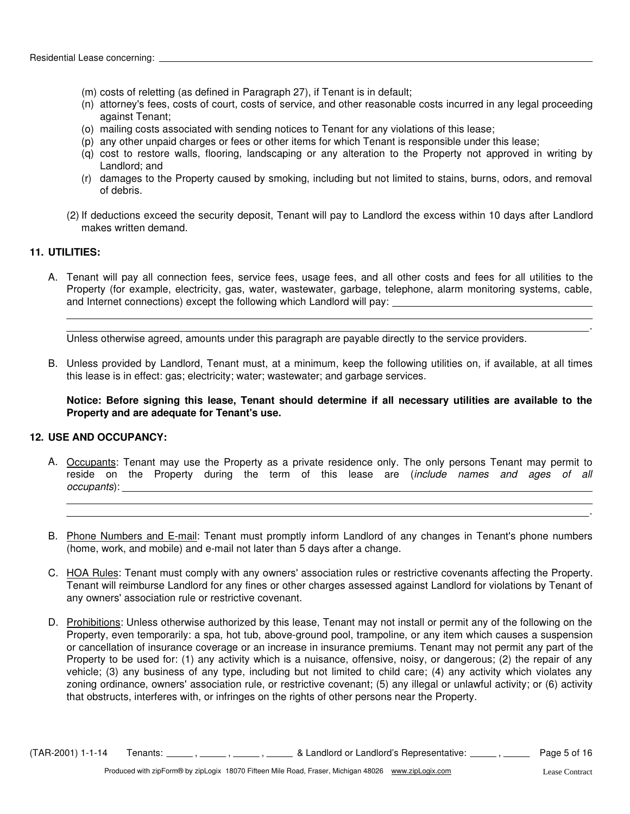- (m) costs of reletting (as defined in Paragraph 27), if Tenant is in default;
- (n) attorney's fees, costs of court, costs of service, and other reasonable costs incurred in any legal proceeding against Tenant;
- (o) mailing costs associated with sending notices to Tenant for any violations of this lease;
- (p) any other unpaid charges or fees or other items for which Tenant is responsible under this lease;
- (q) cost to restore walls, flooring, landscaping or any alteration to the Property not approved in writing by Landlord; and
- (r) damages to the Property caused by smoking, including but not limited to stains, burns, odors, and removal of debris.
- (2) If deductions exceed the security deposit, Tenant will pay to Landlord the excess within 10 days after Landlord makes written demand.

#### **11. UTILITIES:**

A. Tenant will pay all connection fees, service fees, usage fees, and all other costs and fees for all utilities to the Property (for example, electricity, gas, water, wastewater, garbage, telephone, alarm monitoring systems, cable, and Internet connections) except the following which Landlord will pay:

Unless otherwise agreed, amounts under this paragraph are payable directly to the service providers.

B. Unless provided by Landlord, Tenant must, at a minimum, keep the following utilities on, if available, at all times this lease is in effect: gas; electricity; water; wastewater; and garbage services.

**Notice: Before signing this lease, Tenant should determine if all necessary utilities are available to the Property and are adequate for Tenant's use.**

#### **12. USE AND OCCUPANCY:**

- A. Occupants: Tenant may use the Property as a private residence only. The only persons Tenant may permit to reside on the Property during the term of this lease are (*include names and ages of all occupants*):
- B. Phone Numbers and E-mail: Tenant must promptly inform Landlord of any changes in Tenant's phone numbers (home, work, and mobile) and e-mail not later than 5 days after a change.
- C. HOA Rules: Tenant must comply with any owners' association rules or restrictive covenants affecting the Property. Tenant will reimburse Landlord for any fines or other charges assessed against Landlord for violations by Tenant of any owners' association rule or restrictive covenant.
- D. Prohibitions: Unless otherwise authorized by this lease, Tenant may not install or permit any of the following on the Property, even temporarily: a spa, hot tub, above-ground pool, trampoline, or any item which causes a suspension or cancellation of insurance coverage or an increase in insurance premiums. Tenant may not permit any part of the Property to be used for: (1) any activity which is a nuisance, offensive, noisy, or dangerous; (2) the repair of any vehicle; (3) any business of any type, including but not limited to child care; (4) any activity which violates any zoning ordinance, owners' association rule, or restrictive covenant; (5) any illegal or unlawful activity; or (6) activity that obstructs, interferes with, or infringes on the rights of other persons near the Property.

 $(TAR-2001)$  1-1-14 Tenants:  $\frac{1}{16}$ ,  $\frac{1}{16}$ ,  $\frac{1}{16}$ ,  $\frac{1}{16}$  & Landlord or Landlord's Representative:  $\frac{1}{16}$  Page 5 of 16

.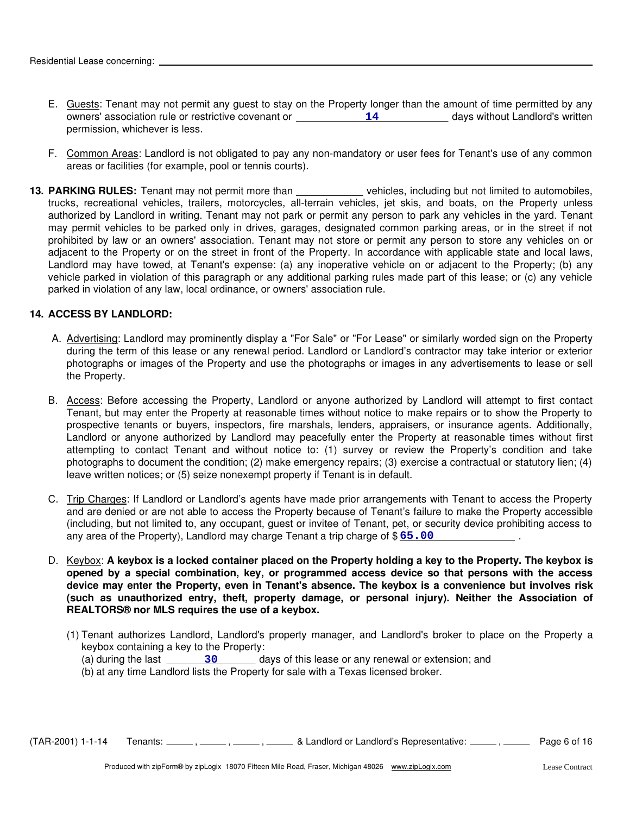- E. Guests: Tenant may not permit any guest to stay on the Property longer than the amount of time permitted by any owners' association rule or restrictive covenant or \_\_\_\_\_\_\_\_\_\_\_\_\_\_14 \_\_\_\_\_\_\_\_\_\_\_\_ days without Landlord's written permission, whichever is less.
- F. Common Areas: Landlord is not obligated to pay any non-mandatory or user fees for Tenant's use of any common areas or facilities (for example, pool or tennis courts).
- adjacent to the Property or on the street in front of the Property. In accordance with applicable state and local laws, Landlord may have towed, at Tenant's expense: (a) any inoperative vehicle on or adjacent to the Property; (b) any vehicle parked in violation of this paragraph or any additional parking rules made part of this lease; or (c) any vehicle parked in violation of any law, local ordinance, or owners' association rule. 13. PARKING RULES: Tenant may not permit more than **variable and vehicles**, including but not limited to automobiles, trucks, recreational vehicles, trailers, motorcycles, all-terrain vehicles, jet skis, and boats, on the Property unless authorized by Landlord in writing. Tenant may not park or permit any person to park any vehicles in the yard. Tenant may permit vehicles to be parked only in drives, garages, designated common parking areas, or in the street if not prohibited by law or an owners' association. Tenant may not store or permit any person to store any vehicles on or

#### **14. ACCESS BY LANDLORD:**

- A. Advertising: Landlord may prominently display a "For Sale" or "For Lease" or similarly worded sign on the Property during the term of this lease or any renewal period. Landlord or Landlord's contractor may take interior or exterior photographs or images of the Property and use the photographs or images in any advertisements to lease or sell the Property.
- B. Access: Before accessing the Property, Landlord or anyone authorized by Landlord will attempt to first contact Tenant, but may enter the Property at reasonable times without notice to make repairs or to show the Property to prospective tenants or buyers, inspectors, fire marshals, lenders, appraisers, or insurance agents. Additionally, Landlord or anyone authorized by Landlord may peacefully enter the Property at reasonable times without first attempting to contact Tenant and without notice to: (1) survey or review the Property's condition and take photographs to document the condition; (2) make emergency repairs; (3) exercise a contractual or statutory lien; (4) leave written notices; or (5) seize nonexempt property if Tenant is in default.
- C. Trip Charges: If Landlord or Landlord's agents have made prior arrangements with Tenant to access the Property . and are denied or are not able to access the Property because of Tenant's failure to make the Property accessible (including, but not limited to, any occupant, guest or invitee of Tenant, pet, or security device prohibiting access to any area of the Property), Landlord may charge Tenant a trip charge of \$ **65.00**
- D. Keybox: **A keybox is a locked container placed on the Property holding a key to the Property. The keybox is opened by a special combination, key, or programmed access device so that persons with the access device may enter the Property, even in Tenant's absence. The keybox is a convenience but involves risk (such as unauthorized entry, theft, property damage, or personal injury). Neither the Association of REALTORS® nor MLS requires the use of a keybox.**
	- (1) Tenant authorizes Landlord, Landlord's property manager, and Landlord's broker to place on the Property a keybox containing a key to the Property:
		- (a) during the last days of this lease or any renewal or extension; and **30**
		- (b) at any time Landlord lists the Property for sale with a Texas licensed broker.

 $(TAR-2001)$  1-1-14 Tenants:  $\frac{1}{\sqrt{16}}$ ,  $\frac{1}{\sqrt{16}}$ ,  $\frac{1}{\sqrt{16}}$  & Landlord or Landlord's Representative:  $\frac{1}{\sqrt{16}}$  Page 6 of 16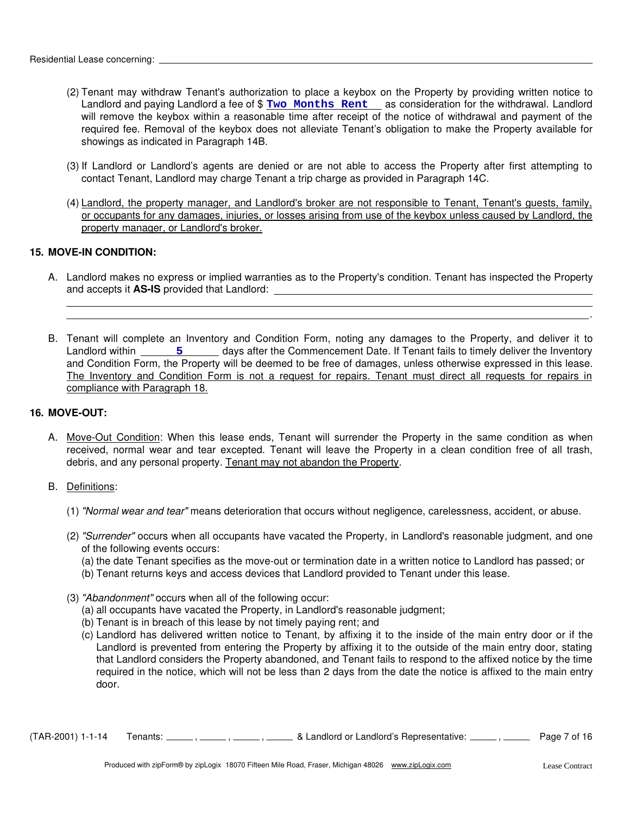- (2) Tenant may withdraw Tenant's authorization to place a keybox on the Property by providing written notice to Landlord and paying Landlord a fee of \$ **Two Months Rent** as consideration for the withdrawal. Landlord will remove the keybox within a reasonable time after receipt of the notice of withdrawal and payment of the required fee. Removal of the keybox does not alleviate Tenant's obligation to make the Property available for showings as indicated in Paragraph 14B.
- (3) If Landlord or Landlord's agents are denied or are not able to access the Property after first attempting to contact Tenant, Landlord may charge Tenant a trip charge as provided in Paragraph 14C.
- (4) Landlord, the property manager, and Landlord's broker are not responsible to Tenant, Tenant's guests, family, or occupants for any damages, injuries, or losses arising from use of the keybox unless caused by Landlord, the property manager, or Landlord's broker.

#### **15. MOVE-IN CONDITION:**

- A. Landlord makes no express or implied warranties as to the Property's condition. Tenant has inspected the Property and accepts it **AS-IS** provided that Landlord:
- B. Tenant will complete an Inventory and Condition Form, noting any damages to the Property, and deliver it to Landlord within \_\_\_\_\_\_\_5 \_\_\_\_\_\_\_ days after the Commencement Date. If Tenant fails to timely deliver the Inventory and Condition Form, the Property will be deemed to be free of damages, unless otherwise expressed in this lease. The Inventory and Condition Form is not a request for repairs. Tenant must direct all requests for repairs in compliance with Paragraph 18.

#### **16. MOVE-OUT:**

- A. Move-Out Condition: When this lease ends, Tenant will surrender the Property in the same condition as when received, normal wear and tear excepted. Tenant will leave the Property in a clean condition free of all trash, debris, and any personal property. Tenant may not abandon the Property.
- B. Definitions:
	- (1) *"Normal wear and tear"* means deterioration that occurs without negligence, carelessness, accident, or abuse.
	- (2) *"Surrender"* occurs when all occupants have vacated the Property, in Landlord's reasonable judgment, and one of the following events occurs:
		- (a) the date Tenant specifies as the move-out or termination date in a written notice to Landlord has passed; or
		- (b) Tenant returns keys and access devices that Landlord provided to Tenant under this lease.
	- (3) *"Abandonment"* occurs when all of the following occur:
		- (a) all occupants have vacated the Property, in Landlord's reasonable judgment;
		- (b) Tenant is in breach of this lease by not timely paying rent; and
		- (c) Landlord has delivered written notice to Tenant, by affixing it to the inside of the main entry door or if the Landlord is prevented from entering the Property by affixing it to the outside of the main entry door, stating that Landlord considers the Property abandoned, and Tenant fails to respond to the affixed notice by the time required in the notice, which will not be less than 2 days from the date the notice is affixed to the main entry door.

 $(TAR-2001)$  1-1-14 Tenants:  $\frac{1}{\sqrt{16}}$ ,  $\frac{1}{\sqrt{16}}$ ,  $\frac{1}{\sqrt{16}}$  & Landlord or Landlord's Representative:  $\frac{1}{\sqrt{16}}$  Page 7 of 16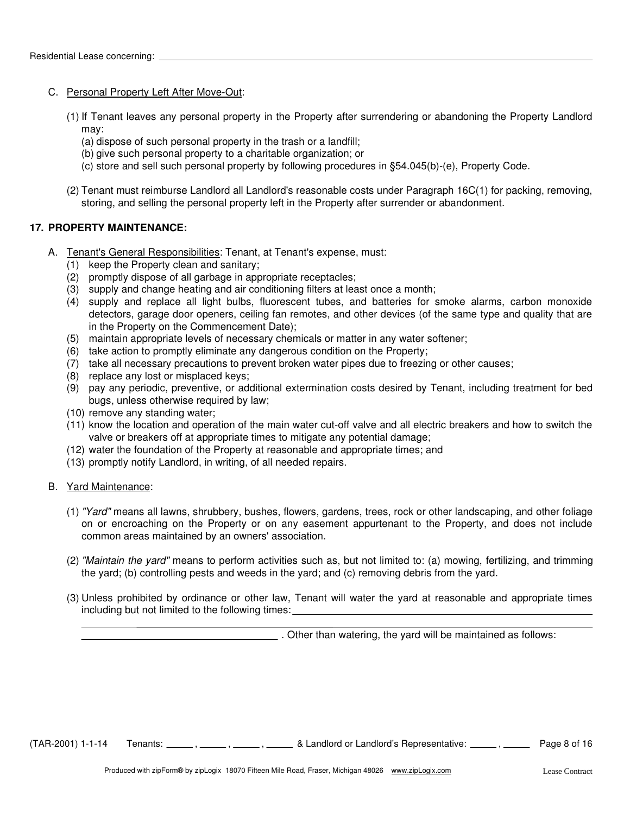#### C. Personal Property Left After Move-Out:

- (1) If Tenant leaves any personal property in the Property after surrendering or abandoning the Property Landlord may:
	- (a) dispose of such personal property in the trash or a landfill;
	- (b) give such personal property to a charitable organization; or
	- (c) store and sell such personal property by following procedures in §54.045(b)-(e), Property Code.
- (2) Tenant must reimburse Landlord all Landlord's reasonable costs under Paragraph 16C(1) for packing, removing, storing, and selling the personal property left in the Property after surrender or abandonment.

#### **17. PROPERTY MAINTENANCE:**

- A. Tenant's General Responsibilities: Tenant, at Tenant's expense, must:
	- (1) keep the Property clean and sanitary;
	- (2) promptly dispose of all garbage in appropriate receptacles;
	- (3) supply and change heating and air conditioning filters at least once a month;
	- (4) supply and replace all light bulbs, fluorescent tubes, and batteries for smoke alarms, carbon monoxide detectors, garage door openers, ceiling fan remotes, and other devices (of the same type and quality that are in the Property on the Commencement Date);
	- (5) maintain appropriate levels of necessary chemicals or matter in any water softener;
	- (6) take action to promptly eliminate any dangerous condition on the Property;
	- (7) take all necessary precautions to prevent broken water pipes due to freezing or other causes;
	- (8) replace any lost or misplaced keys;
	- (9) pay any periodic, preventive, or additional extermination costs desired by Tenant, including treatment for bed bugs, unless otherwise required by law;
	- (10) remove any standing water;
	- (11) know the location and operation of the main water cut-off valve and all electric breakers and how to switch the valve or breakers off at appropriate times to mitigate any potential damage;
	- (12) water the foundation of the Property at reasonable and appropriate times; and
	- (13) promptly notify Landlord, in writing, of all needed repairs.

#### B. Yard Maintenance:

- (1) *"Yard"* means all lawns, shrubbery, bushes, flowers, gardens, trees, rock or other landscaping, and other foliage on or encroaching on the Property or on any easement appurtenant to the Property, and does not include common areas maintained by an owners' association.
- (2) *"Maintain the yard"* means to perform activities such as, but not limited to: (a) mowing, fertilizing, and trimming the yard; (b) controlling pests and weeds in the yard; and (c) removing debris from the yard.
- (3) Unless prohibited by ordinance or other law, Tenant will water the yard at reasonable and appropriate times including but not limited to the following times:

. Other than watering, the yard will be maintained as follows:

 $(TAR-2001)$  1-1-14 Tenants:  $\frac{1}{16}$ ,  $\frac{1}{16}$ ,  $\frac{1}{16}$ ,  $\frac{1}{16}$  & Landlord or Landlord's Representative:  $\frac{1}{16}$  Page 8 of 16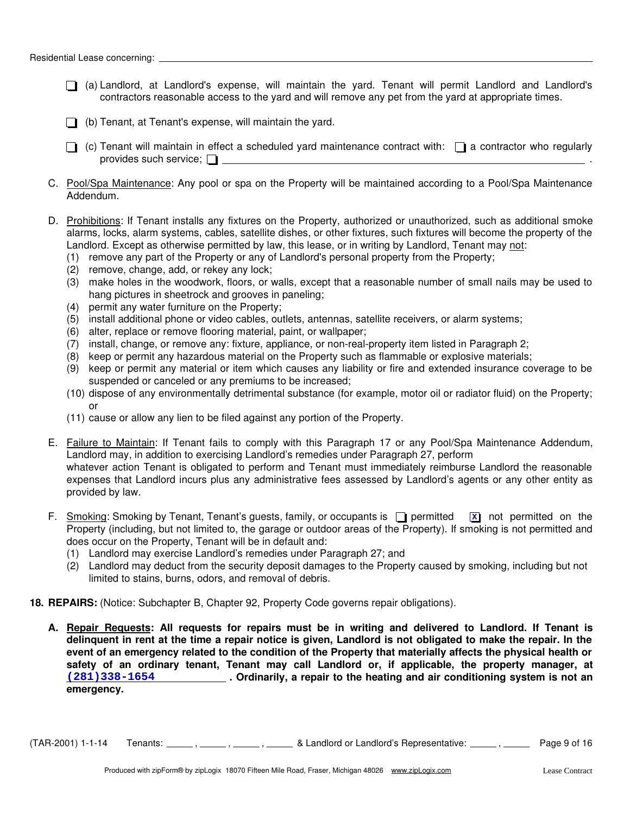- (a) Landlord, at Landlord's expense, will maintain the yard. Tenant will permit Landlord and Landlord's contractors reasonable access to the yard and will remove any pet from the yard at appropriate times.
- $\Box$  (b) Tenant, at Tenant's expense, will maintain the yard.
- $\Box$  (c) Tenant will maintain in effect a scheduled yard maintenance contract with:  $\Box$  a contractor who regularly provides such service;  $\Box$
- C. Pool/Spa Maintenance: Any pool or spa on the Property will be maintained according to a Pool/Spa Maintenance Addendum.
- D. Prohibitions: If Tenant installs any fixtures on the Property, authorized or unauthorized, such as additional smoke alarms, locks, alarm systems, cables, satellite dishes, or other fixtures, such fixtures will become the property of the Landlord. Except as otherwise permitted by law, this lease, or in writing by Landlord, Tenant may not:
	- (1) remove any part of the Property or any of Landlord's personal property from the Property;
	- (2) remove, change, add, or rekey any lock;
	- (3) make holes in the woodwork, floors, or walls, except that a reasonable number of small nails may be used to hang pictures in sheetrock and grooves in paneling;
	- (4) permit any water furniture on the Property;
	- (5) install additional phone or video cables, outlets, antennas, satellite receivers, or alarm systems;
	- (6) alter, replace or remove flooring material, paint, or wallpaper;
	- (7) install, change, or remove any: fixture, appliance, or non-real-property item listed in Paragraph 2;
	- (8) keep or permit any hazardous material on the Property such as flammable or explosive materials;
	- (9) keep or permit any material or item which causes any liability or fire and extended insurance coverage to be suspended or canceled or any premiums to be increased;
	- (10) dispose of any environmentally detrimental substance (for example, motor oil or radiator fluid) on the Property; or
	- (11) cause or allow any lien to be filed against any portion of the Property.
- E. Failure to Maintain: If Tenant fails to comply with this Paragraph 17 or any Pool/Spa Maintenance Addendum, Landlord may, in addition to exercising Landlord's remedies under Paragraph 27, perform whatever action Tenant is obligated to perform and Tenant must immediately reimburse Landlord the reasonable expenses that Landlord incurs plus any administrative fees assessed by Landlord's agents or any other entity as provided by law.
- F. Smoking: Smoking by Tenant, Tenant's guests, family, or occupants is  $\Box$  permitted Property (including, but not limited to, the garage or outdoor areas of the Property). If smoking is not permitted and does occur on the Property, Tenant will be in default and: **x** not permitted on the
	- (1) Landlord may exercise Landlord's remedies under Paragraph 27; and
	- (2) Landlord may deduct from the security deposit damages to the Property caused by smoking, including but not limited to stains, burns, odors, and removal of debris.
- **18. REPAIRS:** (Notice: Subchapter B, Chapter 92, Property Code governs repair obligations).
	- **A. Repair Requests: All requests for repairs must be in writing and delivered to Landlord. If Tenant is delinquent in rent at the time a repair notice is given, Landlord is not obligated to make the repair. In the event of an emergency related to the condition of the Property that materially affects the physical health or safety of an ordinary tenant, Tenant may call Landlord or, if applicable, the property manager, at . Ordinarily, a repair to the heating and air conditioning system is not an (281)338-1654 emergency.**

 $(TAR-2001)$  1-1-14 Tenants:  $\frac{1}{16}$ ,  $\frac{1}{16}$ ,  $\frac{1}{16}$  & Landlord or Landlord's Representative:  $\frac{1}{16}$  Page 9 of 16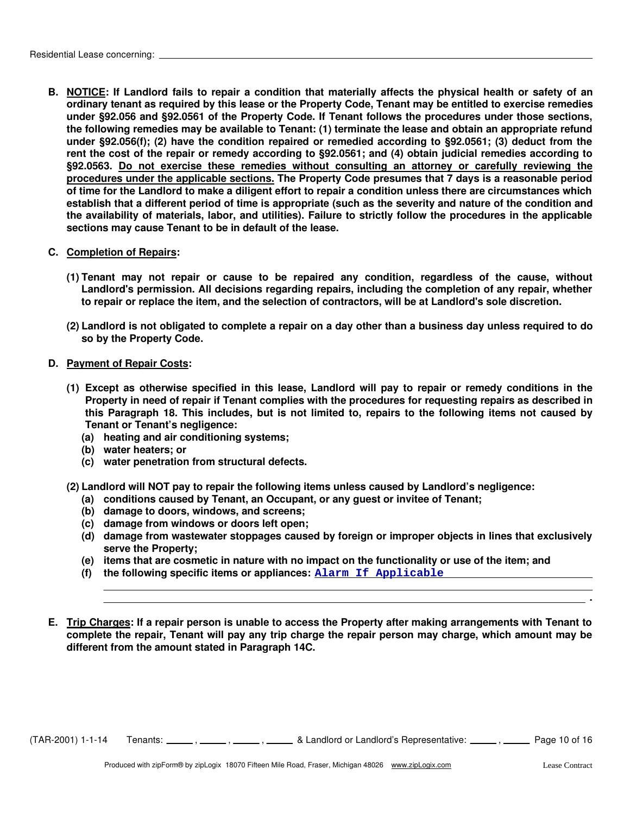**B. NOTICE: If Landlord fails to repair a condition that materially affects the physical health or safety of an ordinary tenant as required by this lease or the Property Code, Tenant may be entitled to exercise remedies under §92.056 and §92.0561 of the Property Code. If Tenant follows the procedures under those sections, the following remedies may be available to Tenant: (1) terminate the lease and obtain an appropriate refund under §92.056(f); (2) have the condition repaired or remedied according to §92.0561; (3) deduct from the rent the cost of the repair or remedy according to §92.0561; and (4) obtain judicial remedies according to §92.0563. Do not exercise these remedies without consulting an attorney or carefully reviewing the procedures under the applicable sections. The Property Code presumes that 7 days is a reasonable period of time for the Landlord to make a diligent effort to repair a condition unless there are circumstances which establish that a different period of time is appropriate (such as the severity and nature of the condition and the availability of materials, labor, and utilities). Failure to strictly follow the procedures in the applicable sections may cause Tenant to be in default of the lease.**

#### **C. Completion of Repairs:**

- **(1) Tenant may not repair or cause to be repaired any condition, regardless of the cause, without Landlord's permission. All decisions regarding repairs, including the completion of any repair, whether to repair or replace the item, and the selection of contractors, will be at Landlord's sole discretion.**
- **(2) Landlord is not obligated to complete a repair on a day other than a business day unless required to do so by the Property Code.**
- **D. Payment of Repair Costs:**
	- **(1) Except as otherwise specified in this lease, Landlord will pay to repair or remedy conditions in the Property in need of repair if Tenant complies with the procedures for requesting repairs as described in this Paragraph 18. This includes, but is not limited to, repairs to the following items not caused by Tenant or Tenant's negligence:**
		- **(a) heating and air conditioning systems;**
		- **(b) water heaters; or**
		- **(c) water penetration from structural defects.**
	- **(2) Landlord will NOT pay to repair the following items unless caused by Landlord's negligence:**
		- **(a) conditions caused by Tenant, an Occupant, or any guest or invitee of Tenant;**
		- **(b) damage to doors, windows, and screens;**
		- **(c) damage from windows or doors left open;**
		- **(d) damage from wastewater stoppages caused by foreign or improper objects in lines that exclusively serve the Property;**
		- **(e) items that are cosmetic in nature with no impact on the functionality or use of the item; and**
		- **(f) the following specific items or appliances: Alarm If Applicable**
- **E. Trip Charges: If a repair person is unable to access the Property after making arrangements with Tenant to complete the repair, Tenant will pay any trip charge the repair person may charge, which amount may be different from the amount stated in Paragraph 14C.**

 $(TAR-2001)$  1-1-14 Tenants:  $\frac{1}{\sqrt{16}}$ ,  $\frac{1}{\sqrt{16}}$ ,  $\frac{1}{\sqrt{16}}$  & Landlord or Landlord's Representative:  $\frac{1}{\sqrt{16}}$  Page 10 of 16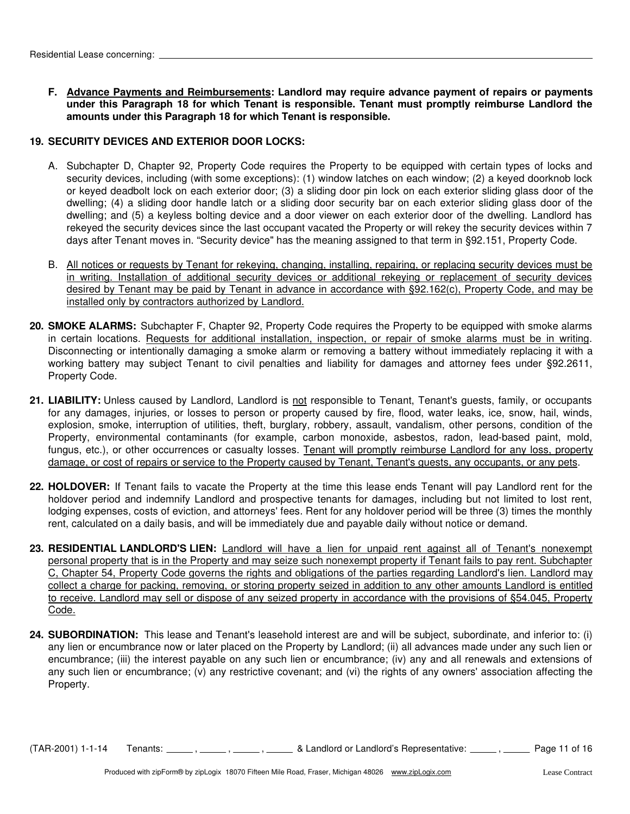**F. Advance Payments and Reimbursements: Landlord may require advance payment of repairs or payments under this Paragraph 18 for which Tenant is responsible. Tenant must promptly reimburse Landlord the amounts under this Paragraph 18 for which Tenant is responsible.**

#### **19. SECURITY DEVICES AND EXTERIOR DOOR LOCKS:**

- A. Subchapter D, Chapter 92, Property Code requires the Property to be equipped with certain types of locks and security devices, including (with some exceptions): (1) window latches on each window; (2) a keyed doorknob lock or keyed deadbolt lock on each exterior door; (3) a sliding door pin lock on each exterior sliding glass door of the dwelling; (4) a sliding door handle latch or a sliding door security bar on each exterior sliding glass door of the dwelling; and (5) a keyless bolting device and a door viewer on each exterior door of the dwelling. Landlord has rekeyed the security devices since the last occupant vacated the Property or will rekey the security devices within 7 days after Tenant moves in. "Security device" has the meaning assigned to that term in §92.151, Property Code.
- B. All notices or requests by Tenant for rekeying, changing, installing, repairing, or replacing security devices must be in writing. Installation of additional security devices or additional rekeying or replacement of security devices desired by Tenant may be paid by Tenant in advance in accordance with §92.162(c), Property Code, and may be installed only by contractors authorized by Landlord.
- **20. SMOKE ALARMS:** Subchapter F, Chapter 92, Property Code requires the Property to be equipped with smoke alarms in certain locations. Requests for additional installation, inspection, or repair of smoke alarms must be in writing. Disconnecting or intentionally damaging a smoke alarm or removing a battery without immediately replacing it with a working battery may subject Tenant to civil penalties and liability for damages and attorney fees under §92.2611, Property Code.
- 21. LIABILITY: Unless caused by Landlord, Landlord is not responsible to Tenant, Tenant's guests, family, or occupants for any damages, injuries, or losses to person or property caused by fire, flood, water leaks, ice, snow, hail, winds, explosion, smoke, interruption of utilities, theft, burglary, robbery, assault, vandalism, other persons, condition of the Property, environmental contaminants (for example, carbon monoxide, asbestos, radon, lead-based paint, mold, fungus, etc.), or other occurrences or casualty losses. Tenant will promptly reimburse Landlord for any loss, property damage, or cost of repairs or service to the Property caused by Tenant, Tenant's guests, any occupants, or any pets.
- **22. HOLDOVER:** If Tenant fails to vacate the Property at the time this lease ends Tenant will pay Landlord rent for the holdover period and indemnify Landlord and prospective tenants for damages, including but not limited to lost rent, lodging expenses, costs of eviction, and attorneys' fees. Rent for any holdover period will be three (3) times the monthly rent, calculated on a daily basis, and will be immediately due and payable daily without notice or demand.
- **23. RESIDENTIAL LANDLORD'S LIEN:** Landlord will have a lien for unpaid rent against all of Tenant's nonexempt personal property that is in the Property and may seize such nonexempt property if Tenant fails to pay rent. Subchapter C, Chapter 54, Property Code governs the rights and obligations of the parties regarding Landlord's lien. Landlord may collect a charge for packing, removing, or storing property seized in addition to any other amounts Landlord is entitled to receive. Landlord may sell or dispose of any seized property in accordance with the provisions of §54.045, Property Code.
- **24. SUBORDINATION:** This lease and Tenant's leasehold interest are and will be subject, subordinate, and inferior to: (i) any lien or encumbrance now or later placed on the Property by Landlord; (ii) all advances made under any such lien or encumbrance; (iii) the interest payable on any such lien or encumbrance; (iv) any and all renewals and extensions of any such lien or encumbrance; (v) any restrictive covenant; and (vi) the rights of any owners' association affecting the Property.

 $(TAR-2001)$  1-1-14 Tenants:  $\frac{1}{\sqrt{16}}$ ,  $\frac{1}{\sqrt{16}}$ ,  $\frac{1}{\sqrt{16}}$  & Landlord or Landlord's Representative:  $\frac{1}{\sqrt{16}}$  Page 11 of 16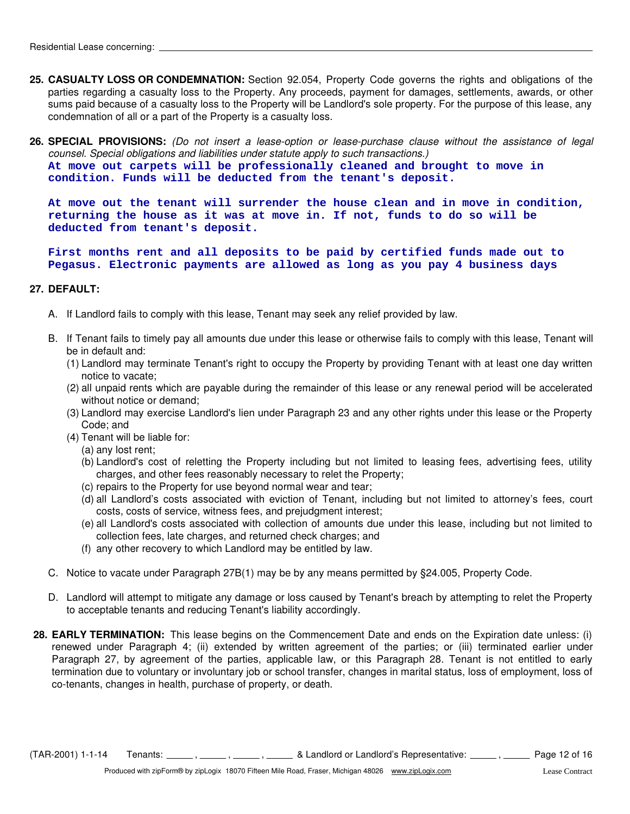- **25. CASUALTY LOSS OR CONDEMNATION:** Section 92.054, Property Code governs the rights and obligations of the parties regarding a casualty loss to the Property. Any proceeds, payment for damages, settlements, awards, or other sums paid because of a casualty loss to the Property will be Landlord's sole property. For the purpose of this lease, any condemnation of all or a part of the Property is a casualty loss.
- **26. SPECIAL PROVISIONS:** *(Do not insert a lease-option or lease-purchase clause without the assistance of legal counsel. Special obligations and liabilities under statute apply to such transactions.)*

**At move out carpets will be professionally cleaned and brought to move in condition. Funds will be deducted from the tenant's deposit.** 

**At move out the tenant will surrender the house clean and in move in condition, returning the house as it was at move in. If not, funds to do so will be deducted from tenant's deposit.** 

**First months rent and all deposits to be paid by certified funds made out to Pegasus. Electronic payments are allowed as long as you pay 4 business days**

#### **27. DEFAULT:**

- A. If Landlord fails to comply with this lease, Tenant may seek any relief provided by law.
- B. If Tenant fails to timely pay all amounts due under this lease or otherwise fails to comply with this lease, Tenant will be in default and:
	- (1) Landlord may terminate Tenant's right to occupy the Property by providing Tenant with at least one day written notice to vacate;
	- (2) all unpaid rents which are payable during the remainder of this lease or any renewal period will be accelerated without notice or demand;
	- (3) Landlord may exercise Landlord's lien under Paragraph 23 and any other rights under this lease or the Property Code; and
	- (4) Tenant will be liable for:
		- (a) any lost rent;
		- (b) Landlord's cost of reletting the Property including but not limited to leasing fees, advertising fees, utility charges, and other fees reasonably necessary to relet the Property;
		- (c) repairs to the Property for use beyond normal wear and tear;
		- (d) all Landlord's costs associated with eviction of Tenant, including but not limited to attorney's fees, court costs, costs of service, witness fees, and prejudgment interest;
		- (e) all Landlord's costs associated with collection of amounts due under this lease, including but not limited to collection fees, late charges, and returned check charges; and
		- (f) any other recovery to which Landlord may be entitled by law.
- C. Notice to vacate under Paragraph 27B(1) may be by any means permitted by §24.005, Property Code.
- D. Landlord will attempt to mitigate any damage or loss caused by Tenant's breach by attempting to relet the Property to acceptable tenants and reducing Tenant's liability accordingly.
- **28. EARLY TERMINATION:** This lease begins on the Commencement Date and ends on the Expiration date unless: (i) renewed under Paragraph 4; (ii) extended by written agreement of the parties; or (iii) terminated earlier under Paragraph 27, by agreement of the parties, applicable law, or this Paragraph 28. Tenant is not entitled to early termination due to voluntary or involuntary job or school transfer, changes in marital status, loss of employment, loss of co-tenants, changes in health, purchase of property, or death.

 $(TAR-2001)$  1-1-14 Tenants:  $\frac{1}{16}$ ,  $\frac{1}{16}$ ,  $\frac{1}{16}$  & Landlord or Landlord's Representative:  $\frac{1}{16}$  Page 12 of 16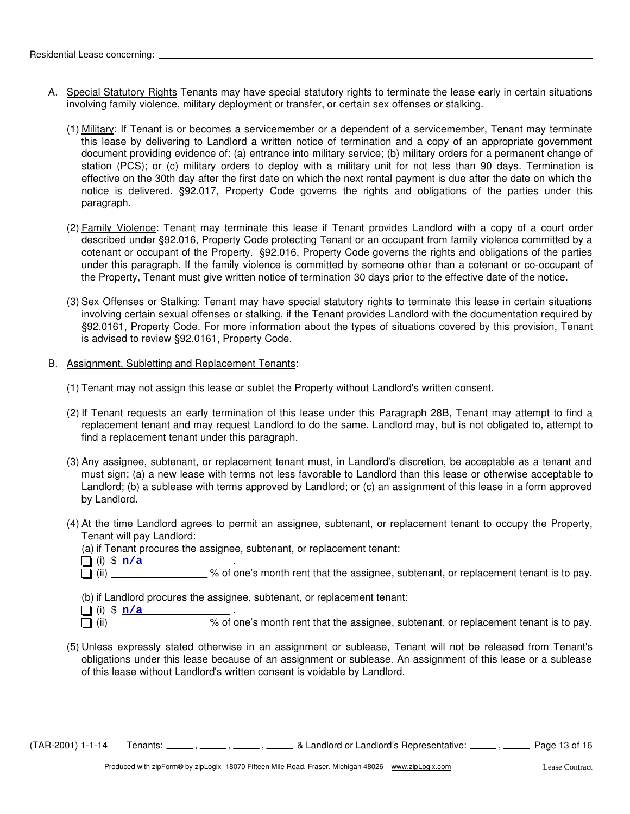- A. Special Statutory Rights Tenants may have special statutory rights to terminate the lease early in certain situations involving family violence, military deployment or transfer, or certain sex offenses or stalking.
	- (1) Military: If Tenant is or becomes a servicemember or a dependent of a servicemember, Tenant may terminate this lease by delivering to Landlord a written notice of termination and a copy of an appropriate government document providing evidence of: (a) entrance into military service; (b) military orders for a permanent change of station (PCS); or (c) military orders to deploy with a military unit for not less than 90 days. Termination is effective on the 30th day after the first date on which the next rental payment is due after the date on which the notice is delivered. §92.017, Property Code governs the rights and obligations of the parties under this paragraph.
	- (2) Family Violence: Tenant may terminate this lease if Tenant provides Landlord with a copy of a court order described under §92.016, Property Code protecting Tenant or an occupant from family violence committed by a cotenant or occupant of the Property. §92.016, Property Code governs the rights and obligations of the parties under this paragraph. If the family violence is committed by someone other than a cotenant or co-occupant of the Property, Tenant must give written notice of termination 30 days prior to the effective date of the notice.
	- (3) Sex Offenses or Stalking: Tenant may have special statutory rights to terminate this lease in certain situations involving certain sexual offenses or stalking, if the Tenant provides Landlord with the documentation required by §92.0161, Property Code. For more information about the types of situations covered by this provision, Tenant is advised to review §92.0161, Property Code.
- B. Assignment, Subletting and Replacement Tenants:
	- (1) Tenant may not assign this lease or sublet the Property without Landlord's written consent.
	- (2) If Tenant requests an early termination of this lease under this Paragraph 28B, Tenant may attempt to find a replacement tenant and may request Landlord to do the same. Landlord may, but is not obligated to, attempt to find a replacement tenant under this paragraph.
	- (3) Any assignee, subtenant, or replacement tenant must, in Landlord's discretion, be acceptable as a tenant and must sign: (a) a new lease with terms not less favorable to Landlord than this lease or otherwise acceptable to Landlord; (b) a sublease with terms approved by Landlord; or (c) an assignment of this lease in a form approved by Landlord.
	- (4) At the time Landlord agrees to permit an assignee, subtenant, or replacement tenant to occupy the Property, Tenant will pay Landlord:
		- (a) if Tenant procures the assignee, subtenant, or replacement tenant:
		- (i) \$ <u>n/a</u> .
		- $\Box$  (ii)  $\Box$  (iii)  $\Box$  (iii)  $\Box$  (iii)  $\Box$  (iii)  $\Box$
		- (b) if Landlord procures the assignee, subtenant, or replacement tenant:
		- (i)  $\frac{1}{2} \frac{n}{a}$  . **n/a**
		- (ii) \_\_\_\_\_\_\_\_\_\_\_\_\_\_\_\_\_\_% of one's month rent that the assignee, subtenant, or replacement tenant is to pay.
	- (5) Unless expressly stated otherwise in an assignment or sublease, Tenant will not be released from Tenant's obligations under this lease because of an assignment or sublease. An assignment of this lease or a sublease of this lease without Landlord's written consent is voidable by Landlord.

(TAR-2001) 1-1-14 Tenants: \_\_\_\_\_, \_\_\_\_\_, \_\_\_\_\_, & Landlord or Landlord's Representative: \_\_\_\_\_, \_\_\_\_\_ Page 13 of 16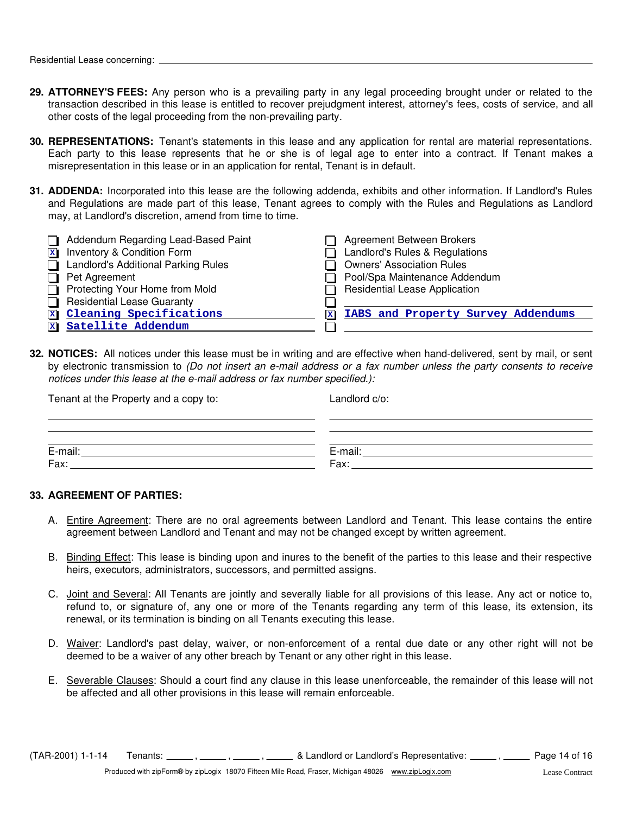- **29. ATTORNEY'S FEES:** Any person who is a prevailing party in any legal proceeding brought under or related to the transaction described in this lease is entitled to recover prejudgment interest, attorney's fees, costs of service, and all other costs of the legal proceeding from the non-prevailing party.
- **30. REPRESENTATIONS:** Tenant's statements in this lease and any application for rental are material representations. Each party to this lease represents that he or she is of legal age to enter into a contract. If Tenant makes a misrepresentation in this lease or in an application for rental, Tenant is in default.
- **31. ADDENDA:** Incorporated into this lease are the following addenda, exhibits and other information. If Landlord's Rules and Regulations are made part of this lease, Tenant agrees to comply with the Rules and Regulations as Landlord may, at Landlord's discretion, amend from time to time.

| Addendum Regarding Lead-Based Paint        | Agreement Between Brokers                 |
|--------------------------------------------|-------------------------------------------|
| Inventory & Condition Form<br>$\mathbf x$  | Landlord's Rules & Regulations            |
| <b>Landlord's Additional Parking Rules</b> | <b>Owners' Association Rules</b>          |
| Pet Agreement                              | Pool/Spa Maintenance Addendum             |
| Protecting Your Home from Mold             | <b>Residential Lease Application</b>      |
| <b>Residential Lease Guaranty</b>          |                                           |
| Cleaning Specifications<br>$\mathbf x$     | IABS and Property Survey Addendums<br>IхI |
| Satellite Addendum                         |                                           |

**32. NOTICES:** All notices under this lease must be in writing and are effective when hand-delivered, sent by mail, or sent by electronic transmission to *(Do not insert an e-mail address or a fax number unless the party consents to receive notices under this lease at the e-mail address or fax number specified.):*

| Tenant at the Property and a copy to: | Landlord c/o:   |
|---------------------------------------|-----------------|
|                                       |                 |
| E-mail:<br>Fax:                       | E-mail:<br>Fax: |

#### **33. AGREEMENT OF PARTIES:**

- A. Entire Agreement: There are no oral agreements between Landlord and Tenant. This lease contains the entire agreement between Landlord and Tenant and may not be changed except by written agreement.
- B. Binding Effect: This lease is binding upon and inures to the benefit of the parties to this lease and their respective heirs, executors, administrators, successors, and permitted assigns.
- C. Joint and Several: All Tenants are jointly and severally liable for all provisions of this lease. Any act or notice to, refund to, or signature of, any one or more of the Tenants regarding any term of this lease, its extension, its renewal, or its termination is binding on all Tenants executing this lease.
- D. Waiver: Landlord's past delay, waiver, or non-enforcement of a rental due date or any other right will not be deemed to be a waiver of any other breach by Tenant or any other right in this lease.
- E. Severable Clauses: Should a court find any clause in this lease unenforceable, the remainder of this lease will not be affected and all other provisions in this lease will remain enforceable.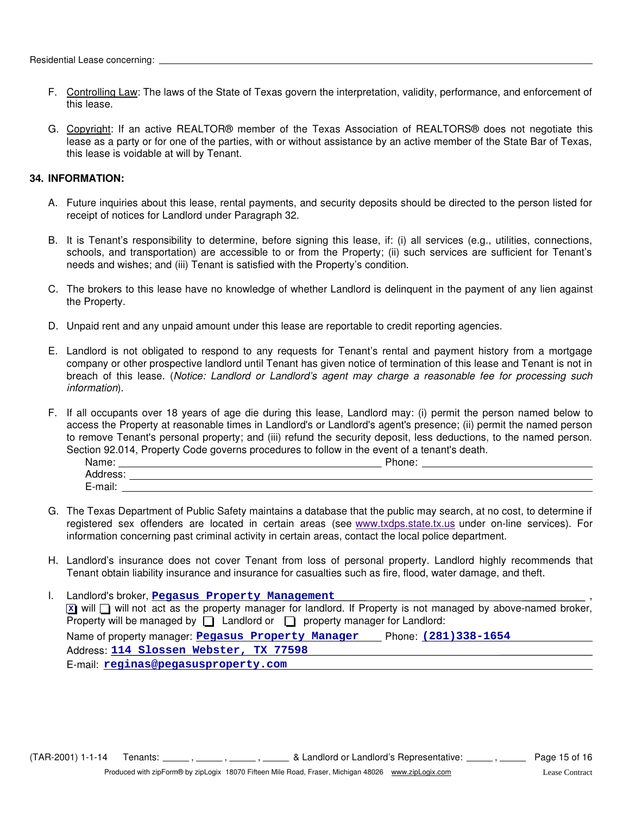- F. Controlling Law: The laws of the State of Texas govern the interpretation, validity, performance, and enforcement of this lease.
- G. Copyright: If an active REALTOR® member of the Texas Association of REALTORS® does not negotiate this lease as a party or for one of the parties, with or without assistance by an active member of the State Bar of Texas, this lease is voidable at will by Tenant.

#### **34. INFORMATION:**

- A. Future inquiries about this lease, rental payments, and security deposits should be directed to the person listed for receipt of notices for Landlord under Paragraph 32.
- B. It is Tenant's responsibility to determine, before signing this lease, if: (i) all services (e.g., utilities, connections, schools, and transportation) are accessible to or from the Property; (ii) such services are sufficient for Tenant's needs and wishes; and (iii) Tenant is satisfied with the Property's condition.
- C. The brokers to this lease have no knowledge of whether Landlord is delinquent in the payment of any lien against the Property.
- D. Unpaid rent and any unpaid amount under this lease are reportable to credit reporting agencies.
- E. Landlord is not obligated to respond to any requests for Tenant's rental and payment history from a mortgage company or other prospective landlord until Tenant has given notice of termination of this lease and Tenant is not in breach of this lease. (*Notice: Landlord or Landlord's agent may charge a reasonable fee for processing such information*).
- F. If all occupants over 18 years of age die during this lease, Landlord may: (i) permit the person named below to access the Property at reasonable times in Landlord's or Landlord's agent's presence; (ii) permit the named person to remove Tenant's personal property; and (iii) refund the security deposit, less deductions, to the named person. Section 92.014, Property Code governs procedures to follow in the event of a tenant's death.

| Name:    | Dhone:<br>none. |
|----------|-----------------|
| Address: |                 |
| E-mail:  |                 |

- G. The Texas Department of Public Safety maintains a database that the public may search, at no cost, to determine if information concerning past criminal activity in certain areas, contact the local police department. registered sex offenders are located in certain areas (see www.txdps.state.tx.us under on-line services). For
- H. Landlord's insurance does not cover Tenant from loss of personal property. Landlord highly recommends that Tenant obtain liability insurance and insurance for casualties such as fire, flood, water damage, and theft.
- Property will be managed by  $\Box$  Landlord or  $\Box$  property manager for Landlord: I. Landlord's broker, **Pegasus Property Management** (2008) (2008) (2008) (2008) (2008) (2008) (2008) (2008) (2008) (2008) (2008) (2008) (2008) (2008) (2008) (2008) (2008) (2008) (2008) (2008) (2008) (2008) (2008) (2008) (2  $\overline{x}$  will  $\Box$  will not act as the property manager for landlord. If Property is not managed by above-named broker, Name of property manager: **Pegasus Property Manager** Phone: (281)338-1654 Address: **114 Slossen Webster, TX 77598** E-mail: **reginas@pegasusproperty.com**